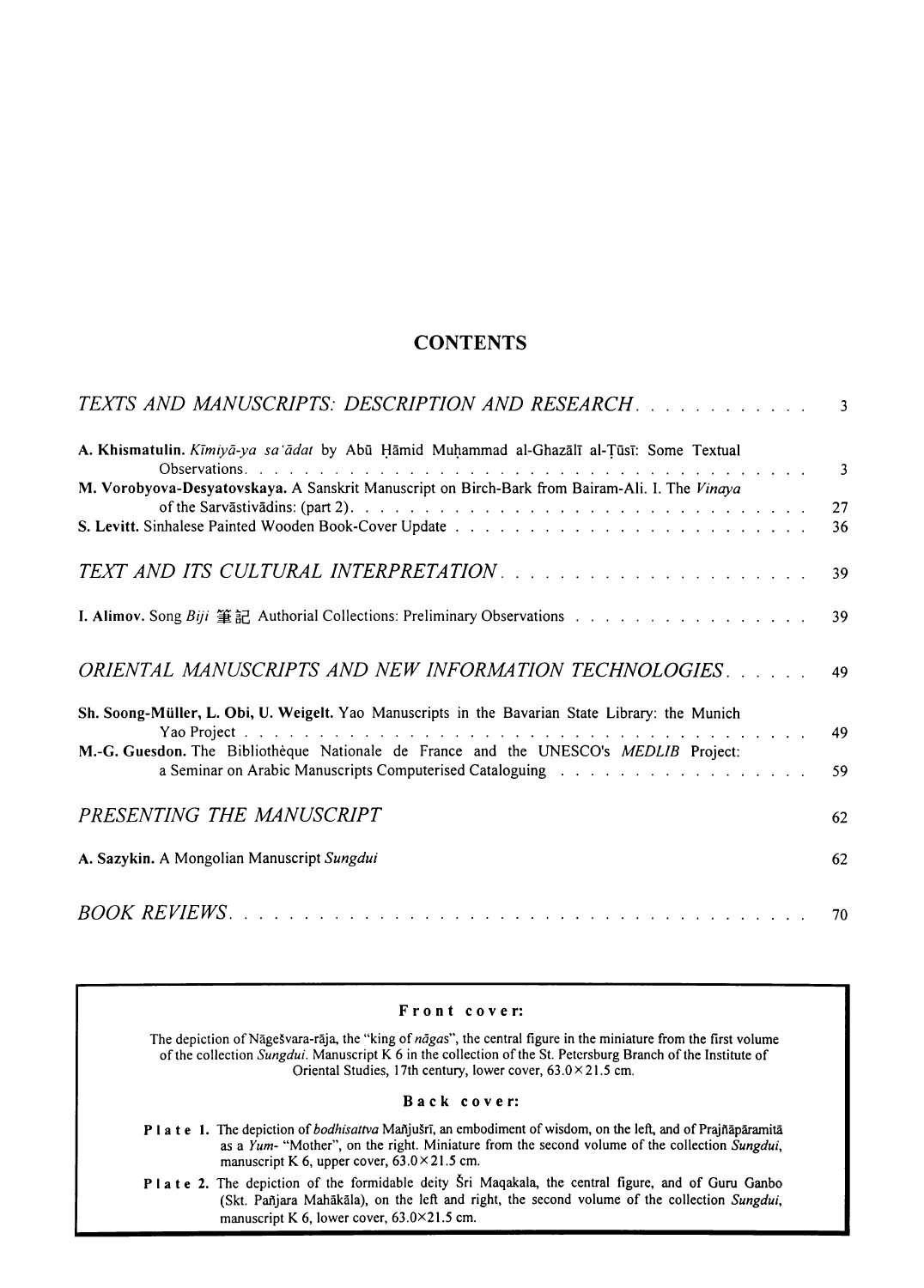### **CONTENTS**

| TEXTS AND MANUSCRIPTS: DESCRIPTION AND RESEARCH. 3                                                                                                                                      |                |
|-----------------------------------------------------------------------------------------------------------------------------------------------------------------------------------------|----------------|
| A. Khismatulin. Kīmiyā-ya sa'ādat by Abū Hāmid Muhammad al-Ghazālī al-Tūsī: Some Textual                                                                                                | $\overline{3}$ |
| M. Vorobyova-Desyatovskaya. A Sanskrit Manuscript on Birch-Bark from Bairam-Ali. I. The Vinaya                                                                                          | 27<br>36       |
|                                                                                                                                                                                         | 39             |
|                                                                                                                                                                                         | 39             |
| ORIENTAL MANUSCRIPTS AND NEW INFORMATION TECHNOLOGIES.                                                                                                                                  | 49             |
| Sh. Soong-Müller, L. Obi, U. Weigelt. Yao Manuscripts in the Bavarian State Library: the Munich<br>M.-G. Guesdon. The Bibliothèque Nationale de France and the UNESCO's MEDLIB Project: | 49             |
|                                                                                                                                                                                         | 59             |
| PRESENTING THE MANUSCRIPT                                                                                                                                                               | 62             |
| A. Sazykin. A Mongolian Manuscript Sungdui                                                                                                                                              | 62             |
|                                                                                                                                                                                         |                |

### F r o **n** t c o v e **r:**

The depiction of Nāgešvara-rāja, the "king of *nāgas*", the central figure in the miniature from the first volume of the collection *Sungdui.* Manuscript K 6 in the collection of the St. Petersburg Branch of the Institute of Oriental Studies, 17th century, lower cover,  $63.0 \times 21.5$  cm.

#### Back cover:

- P I a t e 1. The depiction of *bodhisattva* Mañjušrī, an embodiment of wisdom, on the left, and of Prajñāpāramitā as a *Yum-* "Mother'", on the right. Miniature from the second volume of the collection *Sungdui,*  manuscript K 6, upper cover,  $63.0 \times 21.5$  cm.
- P I a t e 2. The depiction of the formidable deity Sri Maqakala, the central figure, and of Guru Ganbo (Skt. Pailjara Mahakala}, on the left and right, the second volume of the collection *Sungdui,*  manuscript K 6, lower cover, 63.0×21.5 cm.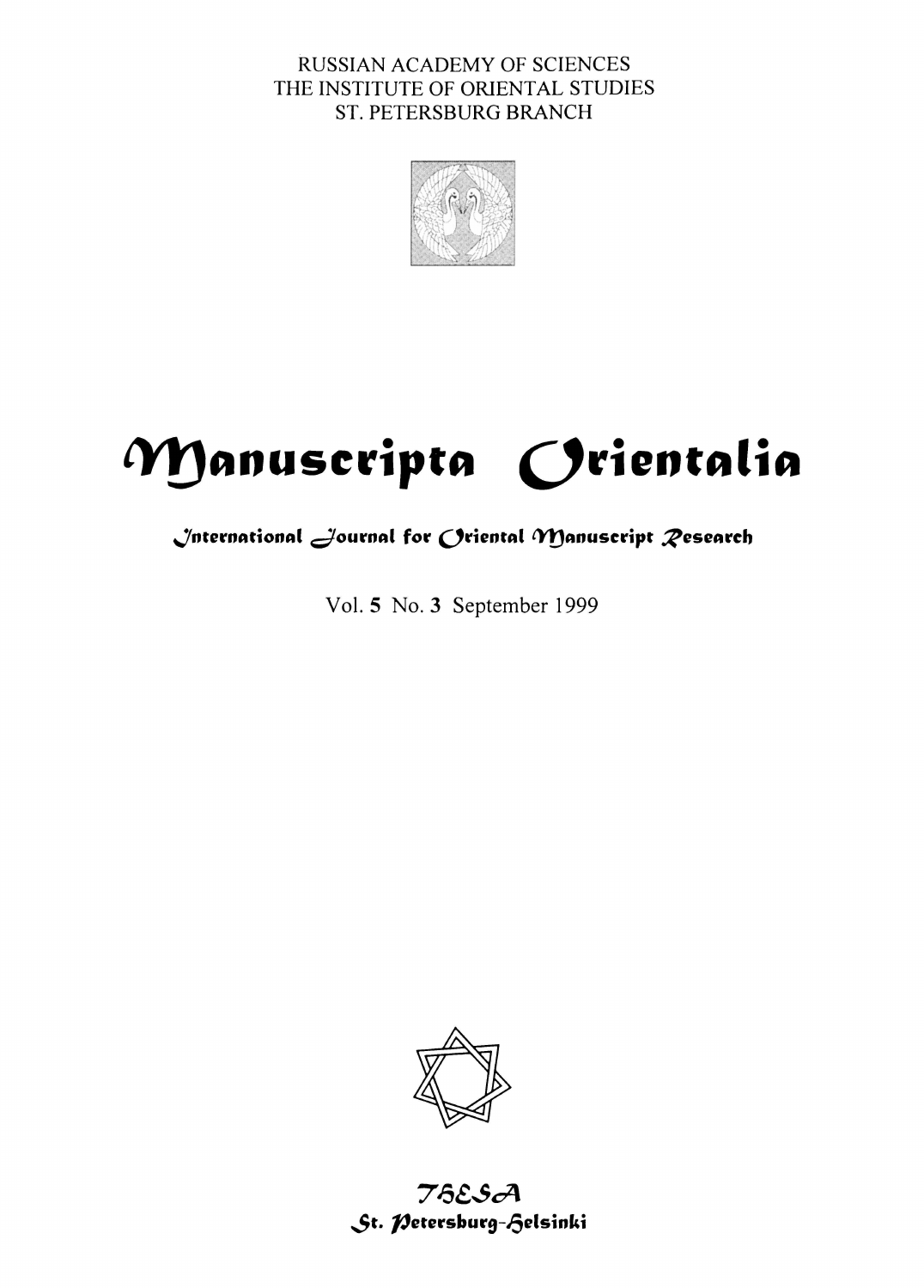RUSSIAN ACADEMY OF SCIENCES THE INSTITUTE OF ORIENTAL STUDIES ST. PETERSBURG BRANCH



# Manuscripta Orientalia

## $\sqrt{n}$ ternational  $\rightarrow$ ournal for  $O$ riental Manuscript  $\mathcal R$ esearch

Vol. 5 No. 3 September 1999



## $76$ ESA St. Petersburg-Gelsinki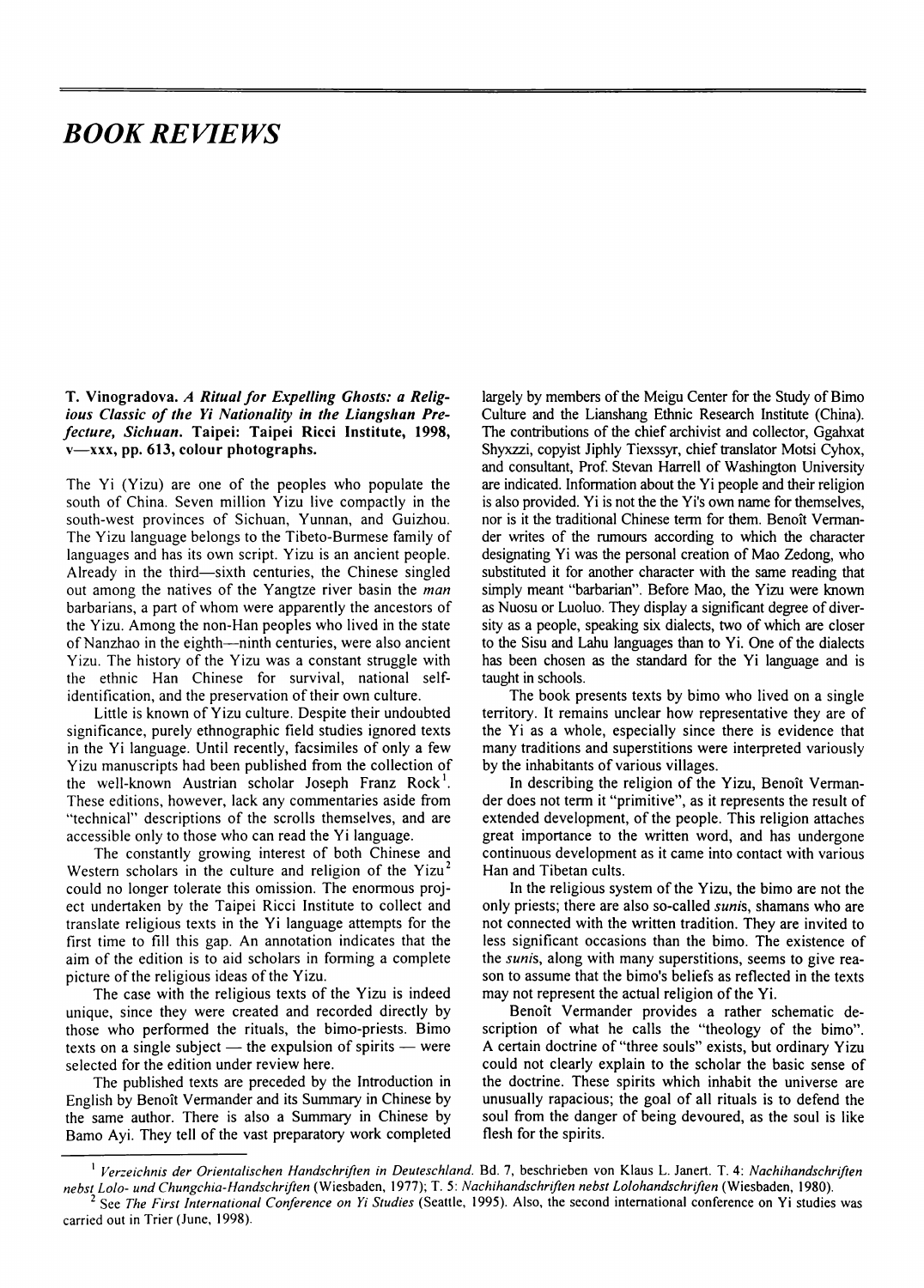## *BOOK REVIEWS*

T. Vinogradova. *A Ritual for Expelling Ghosts: a Relig*ious Classic of the Yi Nationality in the Liangshan Pre*fecture, Sicliua11.* Taipei: Taipei Ricci Institute, 1998,  $v$ —xxx, pp. 613, colour photographs.

The Yi (Yizu) are one of the peoples who populate the south of China. Seven million Yizu live compactly in the south-west provinces of Sichuan, Yunnan, and Guizhou. The Yizu language belongs to the Tibeto-Burmese family of languages and has its own script. Y izu is an ancient people. Already in the third-sixth centuries, the Chinese singled out among the natives of the Yangtze river basin the *man*  barbarians, a part of whom were apparently the ancestors of the Yizu. Among the non-Han peoples who lived in the state of Nanzhao in the eighth---ninth centuries, were also ancient Yizu. The history of the Yizu was a constant struggle with the ethnic Han Chinese for survival, national selfidentification, and the preservation of their own culture.

Little is known of Yizu culture. Despite their undoubted significance, purely ethnographic field studies ignored texts in the Yi language. Until recently, facsimiles of only a few Yizu manuscripts had been published from the collection of the well-known Austrian scholar Joseph Franz Rock<sup>1</sup>. These editions, however, lack any commentaries aside from "technical" descriptions of the scrolls themselves, and are accessible only to those who can read the Yi language.

The constantly growing interest of both Chinese and Western scholars in the culture and religion of the Yizu<sup>2</sup> could no longer tolerate this omission. The enormous project undertaken by the Taipei Ricci Institute to collect and translate religious texts in the Yi language attempts for the first time to fill this gap. An annotation indicates that the aim of the edition is to aid scholars in forming a complete picture of the religious ideas of the Yizu.

The case with the religious texts of the Yizu is indeed unique, since they were created and recorded directly by those who performed the rituals, the bimo-priests. Simo texts on a single subject  $-$  the expulsion of spirits  $-$  were selected for the edition under review here.

The published texts are preceded by the Introduction in English by Benoit Vermander and its Summary in Chinese by the same author. There is also a Summary in Chinese by Barno Ayi. They tell of the vast preparatory work completed largely by members of the Meigu Center for the Study of Simo Culture and the Lianshang Ethnic Research Institute (China). The contributions of the chief archivist and collector, Ggahxat Shyxzzi, copyist Jiphly Tiexssyr, chief translator Motsi Cyhox, and consultant, Prof. Stevan Harrell of Washington University are indicated. Information about the Yi people and their religion is also provided. Yi is not the the Yi's own name for themselves, nor is it the traditional Chinese term for them. Benoit Vermander writes of the rumours according to which the character designating Yi was the personal creation of Mao Zedong, who substituted it for another character with the same reading that simply meant "barbarian". Before Mao, the Yizu were known as Nuosu or Luoluo. They display a significant degree of diversity as a people, speaking six dialects, two of which are closer to the Sisu and Lahu languages than to Yi. One of the dialects has been chosen as the standard for the Yi language and is taught in schools.

The book presents texts by bimo who lived on a single territory. It remains unclear how representative they are of the Yi as a whole, especially since there is evidence that many traditions and superstitions were interpreted variously by the inhabitants of various villages.

In describing the religion of the Yizu, Benoit Vermander does not term it "primitive", as it represents the result of extended development, of the people. This religion attaches great importance to the written word, and has undergone continuous development as it came into contact with various Han and Tibetan cults.

In the religious system of the Yizu, the bimo are not the only priests; there are also so-called *sunis,* shamans who are not connected with the written tradition. They are invited to less significant occasions than the bimo. The existence of the *sunis,* along with many superstitions, seems to give reason to assume that the bimo's beliefs as reflected in the texts may not represent the actual religion of the Yi.

Benoit Vermander provides a rather schematic description of what he calls the "theology of the bimo". A certain doctrine of "three souls" exists, but ordinary Yizu could not clearly explain to the scholar the basic sense of the doctrine. These spirits which inhabit the universe are unusually rapacious; the goal of all rituals is to defend the soul from the danger of being devoured, as the soul is like flesh for the spirits.

<sup>1</sup>*Verzeichnis der Orientalischen Handschriften in Deuteschland.* Bd. 7, beschrieben von Klaus L. Janert. T. 4: *Nachihandschriften* 

See The First International Conference on Yi Studies (Seattle, 1995). Also, the second international conference on Yi studies was carried out in Trier (June, 1998).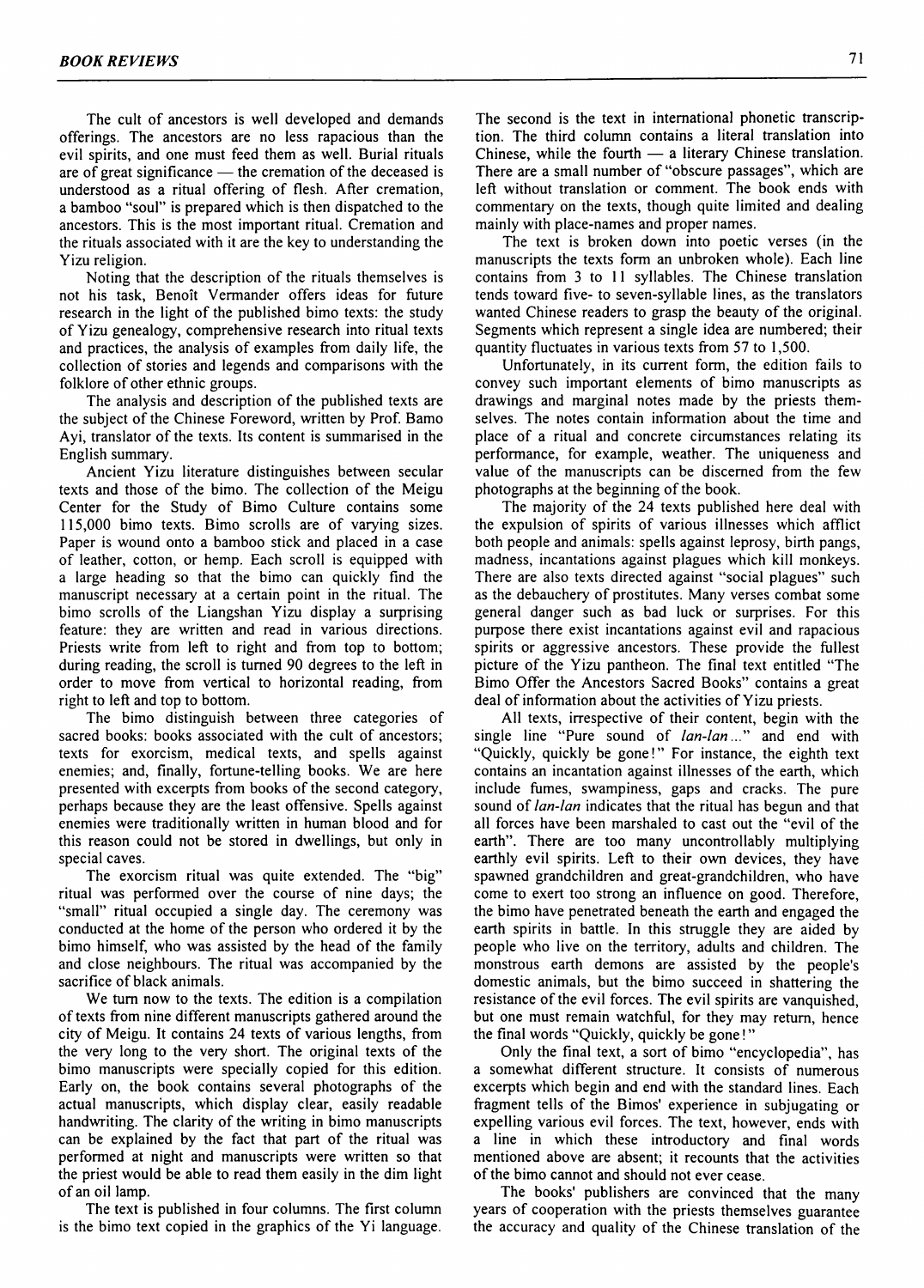The cult of ancestors is well developed and demands offerings. The ancestors are no less rapacious than the evil spirits, and one must feed them as well. Burial rituals are of great significance  $-$  the cremation of the deceased is understood as a ritual offering of flesh. After cremation, a bamboo "soul" is prepared which is then dispatched to the ancestors. This is the most important ritual. Cremation and the rituals associated with it are the key to understanding the Yizu religion.

Noting that the description of the rituals themselves is not his task, Benoit Yermander offers ideas for future research in the light of the published bimo texts: the study of Yizu genealogy, comprehensive research into ritual texts and practices, the analysis of examples from daily life, the collection of stories and legends and comparisons with the folklore of other ethnic groups.

The analysis and description of the published texts are the subject of the Chinese Foreword, written by Prof. Bamo Ayi, translator of the texts. Its content is summarised in the English summary.

Ancient Yizu literature distinguishes between secular texts and those of the bimo. The collection of the Meigu Center for the Study of Bimo Culture contains some 115,000 bimo texts. Bimo scrolls are of varying sizes. Paper is wound onto a bamboo stick and placed in a case of leather, cotton, or hemp. Each scroll is equipped with a large heading so that the bimo can quickly find the manuscript necessary at a certain point in the ritual. The bimo scrolls of the Liangshan Yizu display a surprising feature: they are written and read in various directions. Priests write from left to right and from top to bottom; during reading, the scroll is turned 90 degrees to the left in order to move from vertical to horizontal reading, from right to left and top to bottom.

The bimo distinguish between three categories of sacred books: books associated with the cult of ancestors; texts for exorcism, medical texts, and spells against enemies; and, finally, fortune-telling books. We are here presented with excerpts from books of the second category, perhaps because they are the least offensive. Spells against enemies were traditionally written in human blood and for this reason could not be stored in dwellings, but only in special caves.

The exorcism ritual was quite extended. The "big" ritual was performed over the course of nine days; the "small" ritual occupied a single day. The ceremony was conducted at the home of the person who ordered it by the bimo himself, who was assisted by the head of the family and close neighbours. The ritual was accompanied by the sacrifice of black animals.

We tum now to the texts. The edition is a compilation of texts from nine different manuscripts gathered around the city of Meigu. It contains 24 texts of various lengths, from the very long to the very short. The original texts of the bimo manuscripts were specially copied for this edition. Early on, the book contains several photographs of the actual manuscripts, which display clear, easily readable handwriting. The clarity of the writing in bimo manuscripts can be explained by the fact that part of the ritual was performed at night and manuscripts were written so that the priest would be able to read them easily in the dim light of an oil lamp.

The text is published in four columns. The first column is the bimo text copied in the graphics of the Yi language. The second is the text in international phonetic transcription. The third column contains a literal translation into Chinese, while the fourth  $-$  a literary Chinese translation. There are a small number of "obscure passages", which are left without translation or comment. The book ends with commentary on the texts, though quite limited and dealing mainly with place-names and proper names.

The text is broken down into poetic verses (in the manuscripts the texts form an unbroken whole). Each line contains from 3 to 11 syllables. The Chinese translation tends toward five- to seven-syllable lines, as the translators wanted Chinese readers to grasp the beauty of the original. Segments which represent a single idea are numbered; their quantity fluctuates in various texts from 57 to 1,500.

Unfortunately, in its current form, the edition fails to convey such important elements of bimo manuscripts as drawings and marginal notes made by the priests themselves. The notes contain information about the time and place of a ritual and concrete circumstances relating its performance, for example, weather. The uniqueness and value of the manuscripts can be discerned from the few photographs at the beginning of the book.

The majority of the 24 texts published here deal with the expulsion of spirits of various illnesses which afflict both people and animals: spells against leprosy, birth pangs, madness, incantations against plagues which kill monkeys. There are also texts directed against "social plagues" such as the debauchery of prostitutes. Many verses combat some general danger such as bad luck or surprises. For this purpose there exist incantations against evil and rapacious spirits or aggressive ancestors. These provide the fullest picture of the Yizu pantheon. The final text entitled "The Bimo Offer the Ancestors Sacred Books" contains a great deal of information about the activities of Y izu priests.

All texts, irrespective of their content, begin with the single line "Pure sound of  $lan-lan$ ..." and end with "Quickly, quickly be gone!" For instance, the eighth text contains an incantation against illnesses of the earth, which include fumes, swampiness, gaps and cracks. The pure sound of *lan-lan* indicates that the ritual has begun and that all forces have been marshaled to cast out the "evil of the earth". There are too many uncontrollably multiplying earthly evil spirits. Left to their own devices, they have spawned grandchildren and great-grandchildren, who have come to exert too strong an influence on good. Therefore, the bimo have penetrated beneath the earth and engaged the earth spirits in battle. In this struggle they are aided by people who live on the territory, adults and children. The monstrous earth demons are assisted by the people's domestic animals, but the bimo succeed in shattering the resistance of the evil forces. The evil spirits are vanquished, but one must remain watchful, for they may return, hence the final words "Quickly, quickly be gone!"

Only the final text, a sort of bimo "encyclopedia", has a somewhat different structure. It consists of numerous excerpts which begin and end with the standard lines. Each fragment tells of the Bimos' experience in subjugating or expelling various evil forces. The text, however, ends with a line in which these introductory and final words mentioned above are absent; it recounts that the activities of the bimo cannot and should not ever cease.

The books' publishers are convinced that the many years of cooperation with the priests themselves guarantee the accuracy and quality of the Chinese translation of the